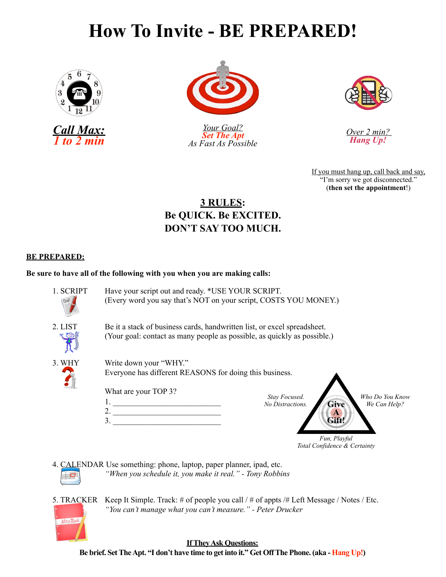## **How To Invite - BE PREPARED!**



*Call Max: 1 to 2 min*



*Your Goal? Set The Apt As Fast As Possible*



*Over 2 min? Hang Up!*

If you must hang up, call back and say, "I'm sorry we got disconnected." (**then set the appointment**!)

### **3 RULES: Be QUICK. Be EXCITED. DON'T SAY TOO MUCH.**

### **BE PREPARED:**

Note Boo

### **Be sure to have all of the following with you when you are making calls:**

- 1. SCRIPT Have your script out and ready. \*USE YOUR SCRIPT. (Every word you say that's NOT on your script, COSTS YOU MONEY.) 2. LIST Be it a stack of business cards, handwritten list, or excel spreadsheet. (Your goal: contact as many people as possible, as quickly as possible.) 3. WHY Write down your "WHY." Everyone has different REASONS for doing this business. What are your TOP 3? 1. \_\_\_\_\_\_\_\_\_\_\_\_\_\_\_\_\_\_\_\_\_\_\_\_\_\_\_ 2. \_\_\_\_\_\_\_\_\_\_\_\_\_\_\_\_\_\_\_\_\_\_\_\_\_\_\_  $3.$ **Give A Gift!** *Who Do You Know We Can Help? Stay Focused. No Distractions. Fun, Playful Total Confidence & Certainty*
- 4. CALENDAR Use something: phone, laptop, paper planner, ipad, etc. *"When you schedule it, you make it real." - Tony Robbins*
- 5. TRACKER Keep It Simple. Track: # of people you call / # of appts /# Left Message / Notes / Etc. *"You can't manage what you can't measure." - Peter Drucker*

**If They Ask Questions: Be brief. Set The Apt. "I don't have time to get into it." Get Off The Phone. (aka - Hang Up!)**